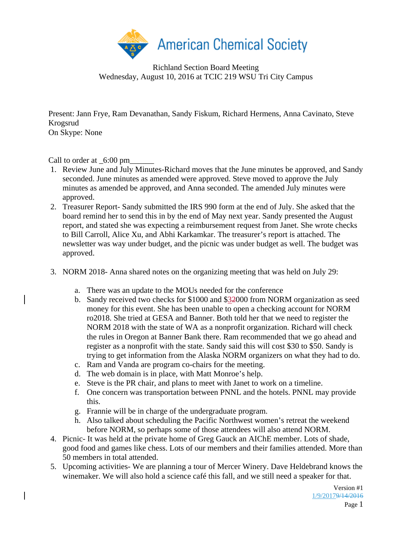

Richland Section Board Meeting Wednesday, August 10, 2016 at TCIC 219 WSU Tri City Campus

Present: Jann Frye, Ram Devanathan, Sandy Fiskum, Richard Hermens, Anna Cavinato, Steve Krogsrud On Skype: None

Call to order at  $\_6:00 \text{ pm}$ 

- 1. Review June and July Minutes-Richard moves that the June minutes be approved, and Sandy seconded. June minutes as amended were approved. Steve moved to approve the July minutes as amended be approved, and Anna seconded. The amended July minutes were approved.
- 2. Treasurer Report- Sandy submitted the IRS 990 form at the end of July. She asked that the board remind her to send this in by the end of May next year. Sandy presented the August report, and stated she was expecting a reimbursement request from Janet. She wrote checks to Bill Carroll, Alice Xu, and Abhi Karkamkar. The treasurer's report is attached. The newsletter was way under budget, and the picnic was under budget as well. The budget was approved.
- 3. NORM 2018- Anna shared notes on the organizing meeting that was held on July 29:
	- a. There was an update to the MOUs needed for the conference
	- b. Sandy received two checks for \$1000 and \$32000 from NORM organization as seed money for this event. She has been unable to open a checking account for NORM ro2018. She tried at GESA and Banner. Both told her that we need to register the NORM 2018 with the state of WA as a nonprofit organization. Richard will check the rules in Oregon at Banner Bank there. Ram recommended that we go ahead and register as a nonprofit with the state. Sandy said this will cost \$30 to \$50. Sandy is trying to get information from the Alaska NORM organizers on what they had to do.
	- c. Ram and Vanda are program co-chairs for the meeting.
	- d. The web domain is in place, with Matt Monroe's help.
	- e. Steve is the PR chair, and plans to meet with Janet to work on a timeline.
	- f. One concern was transportation between PNNL and the hotels. PNNL may provide this.
	- g. Frannie will be in charge of the undergraduate program.
	- h. Also talked about scheduling the Pacific Northwest women's retreat the weekend before NORM, so perhaps some of those attendees will also attend NORM.
- 4. Picnic- It was held at the private home of Greg Gauck an AIChE member. Lots of shade, good food and games like chess. Lots of our members and their families attended. More than 50 members in total attended.
- 5. Upcoming activities- We are planning a tour of Mercer Winery. Dave Heldebrand knows the winemaker. We will also hold a science café this fall, and we still need a speaker for that.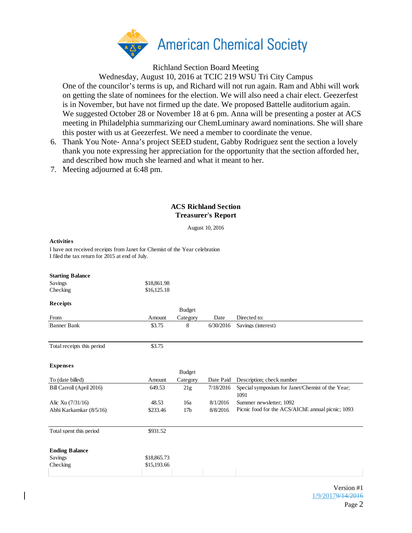

Richland Section Board Meeting

Wednesday, August 10, 2016 at TCIC 219 WSU Tri City Campus

One of the councilor's terms is up, and Richard will not run again. Ram and Abhi will work on getting the slate of nominees for the election. We will also need a chair elect. Geezerfest is in November, but have not firmed up the date. We proposed Battelle auditorium again. We suggested October 28 or November 18 at 6 pm. Anna will be presenting a poster at ACS meeting in Philadelphia summarizing our ChemLuminary award nominations. She will share this poster with us at Geezerfest. We need a member to coordinate the venue.

- 6. Thank You Note- Anna's project SEED student, Gabby Rodriguez sent the section a lovely thank you note expressing her appreciation for the opportunity that the section afforded her, and described how much she learned and what it meant to her.
- 7. Meeting adjourned at 6:48 pm.

## **ACS Richland Section Treasurer's Report**

August 10, 2016

## **Activities**

I have not received receipts from Janet for Chemist of the Year celebration I filed the tax return for 2015 at end of July.

| <b>Starting Balance</b>    |             |                 |           |                                                          |
|----------------------------|-------------|-----------------|-----------|----------------------------------------------------------|
| Savings                    | \$18,861.98 |                 |           |                                                          |
| Checking                   | \$16,125.18 |                 |           |                                                          |
| Receipts                   |             |                 |           |                                                          |
|                            |             | <b>Budget</b>   |           |                                                          |
| From                       | Amount      | Category        | Date      | Directed to:                                             |
| <b>Banner Bank</b>         | \$3.75      | 8               | 6/30/2016 | Savings (interest)                                       |
| Total receipts this period | \$3.75      |                 |           |                                                          |
| <b>Expenses</b>            |             |                 |           |                                                          |
|                            |             | <b>Budget</b>   |           |                                                          |
| To (date billed)           | Amount      | Category        | Date Paid | Description; check number                                |
| Bill Carroll (April 2016)  | 649.53      | 21g             | 7/18/2016 | Special symposium for Janet/Chemist of the Year;<br>1091 |
| Alic Xu (7/31/16)          | 48.53       | 16a             | 8/1/2016  | Summer newsletter; 1092                                  |
| Abhi Karkamkar (8/5/16)    | \$233.46    | 17 <sub>b</sub> | 8/8/2016  | Picnic food for the ACS/AIChE annual picnic; 1093        |
| Total spent this period    | \$931.52    |                 |           |                                                          |
| <b>Ending Balance</b>      |             |                 |           |                                                          |
| Savings                    | \$18,865.73 |                 |           |                                                          |
| Checking                   | \$15,193.66 |                 |           |                                                          |
|                            |             |                 |           |                                                          |